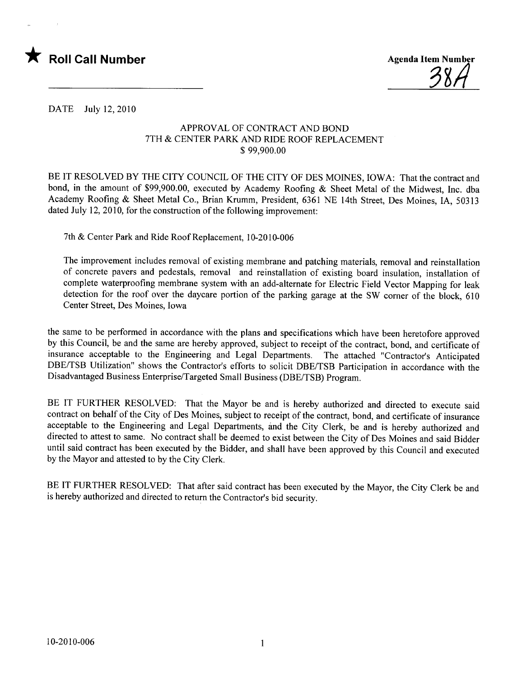



DATE July 12,2010

## APPROV AL OF CONTRACT AND BOND 7TH & CENTER PARK AND RIDE ROOF REPLACEMENT \$ 99,900.00

BE IT RESOLVED BY THE CITY COUNCIL OF THE CITY OF DES MOINES, IOWA: That the contract and bond, in the amount of \$99,900.00, executed by Academy Roofing & Sheet Metal of the Midwest, Inc. dba Academy Roofing & Sheet Metal Co., Brian Krumm, President, 6361 NE 14th Street, Des Moines, lA, 50313 dated July 12, 2010, for the construction of the following improvement:

7th & Center Park and Ride Roof Replacement, 10-2010-006

The improvement includes removal of existing membrane and patching materials, removal and reinstallation of concrete pavers and pedestals, removal and reinstallation of existing board insulation, installation of complete waterproofing membrane system with an add-alternate for Electric Field Vector Mapping for leak detection for the roof over the daycare portion of the parking garage at the SW comer of the block, 610 Center Street, Des Moines, Iowa

the same to be performed in accordance with the plans and specifications which have been heretofore approved by this Council, be and the same are hereby approved, subject to receipt of the contract, bond, and certificate of insurance acceptable to the Engineering and Legal Departments. The attached "Contractor's Anticipated DBE/TSB Utilization" shows the Contractor's efforts to solicit DBE/TSB Participation in accordance with the Disadvantaged Business Enterprise/Targeted Small Business (DBE/TSB) Program.

BE IT FURTHER RESOLVED: That the Mayor be and is hereby authorized and directed to execute said contract on behalf of the City of Des Moines, subject to receipt of the contract, bond, and certificate of insurance acceptable to the Engineering and Legal Departments, ánd the City Clerk, be and is hereby authorized and directed to attest to same. No contract shall be deemed to exist between the City of Des Moines and said Bidder until said contract has been executed by the Bidder, and shall have been approved by this Council and executed by the Mayor and attested to by the City Clerk.

BE IT FURTHER RESOLVED: That after said contract has been executed by the Mayor, the City Clerk be and is hereby authorized and directed to return the Contractor's bid security.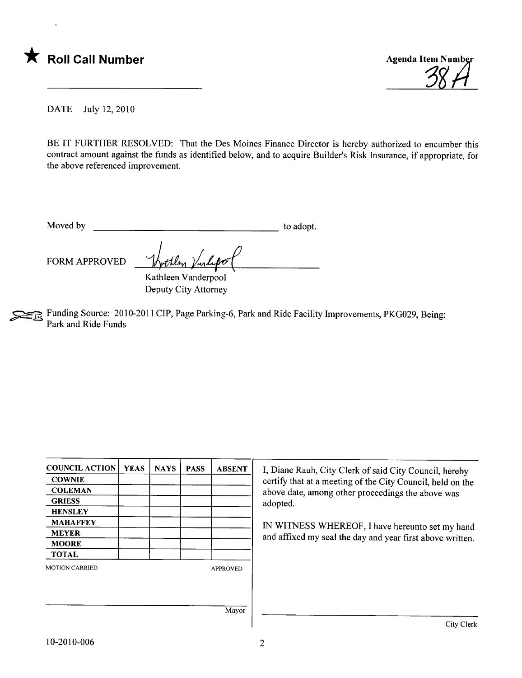



City Clerk

DATE July 12,2010

BE IT FURTHER RESOLVED: That the Des Moines Finance Director is hereby authorized to encumber this contract amount against the funds as identified below, and to acquire Builder's Risk Insurance, if appropriate, for the above referenced improvement.

Moved by to adopt.

FORM APPROVED

Kathleen Vanderpool Deputy City Attorney

~ Funding Source: 2010-2011 CIP, Page Parking-6, Park and Ride Facility Improvements, PKG029, Being: Park and Ride Funds

| <b>COUNCIL ACTION</b> | <b>YEAS</b> | <b>NAYS</b> | <b>PASS</b> | <b>ABSENT</b>   | I, Diane Rauh, City Clerk of said City Council, hereby                                                       |  |  |
|-----------------------|-------------|-------------|-------------|-----------------|--------------------------------------------------------------------------------------------------------------|--|--|
| <b>COWNIE</b>         |             |             |             |                 | certify that at a meeting of the City Council, held on the                                                   |  |  |
| <b>COLEMAN</b>        |             |             |             |                 | above date, among other proceedings the above was                                                            |  |  |
| <b>GRIESS</b>         |             |             |             |                 | adopted.                                                                                                     |  |  |
| <b>HENSLEY</b>        |             |             |             |                 |                                                                                                              |  |  |
| <b>MAHAFFEY</b>       |             |             |             |                 | IN WITNESS WHEREOF, I have hereunto set my hand<br>and affixed my seal the day and year first above written. |  |  |
| <b>MEYER</b>          |             |             |             |                 |                                                                                                              |  |  |
| <b>MOORE</b>          |             |             |             |                 |                                                                                                              |  |  |
| <b>TOTAL</b>          |             |             |             |                 |                                                                                                              |  |  |
| <b>MOTION CARRIED</b> |             |             |             | <b>APPROVED</b> |                                                                                                              |  |  |
|                       |             |             |             |                 |                                                                                                              |  |  |
|                       |             |             |             |                 |                                                                                                              |  |  |
|                       |             |             |             | Mayor           |                                                                                                              |  |  |
|                       |             |             |             |                 | City Clerk                                                                                                   |  |  |